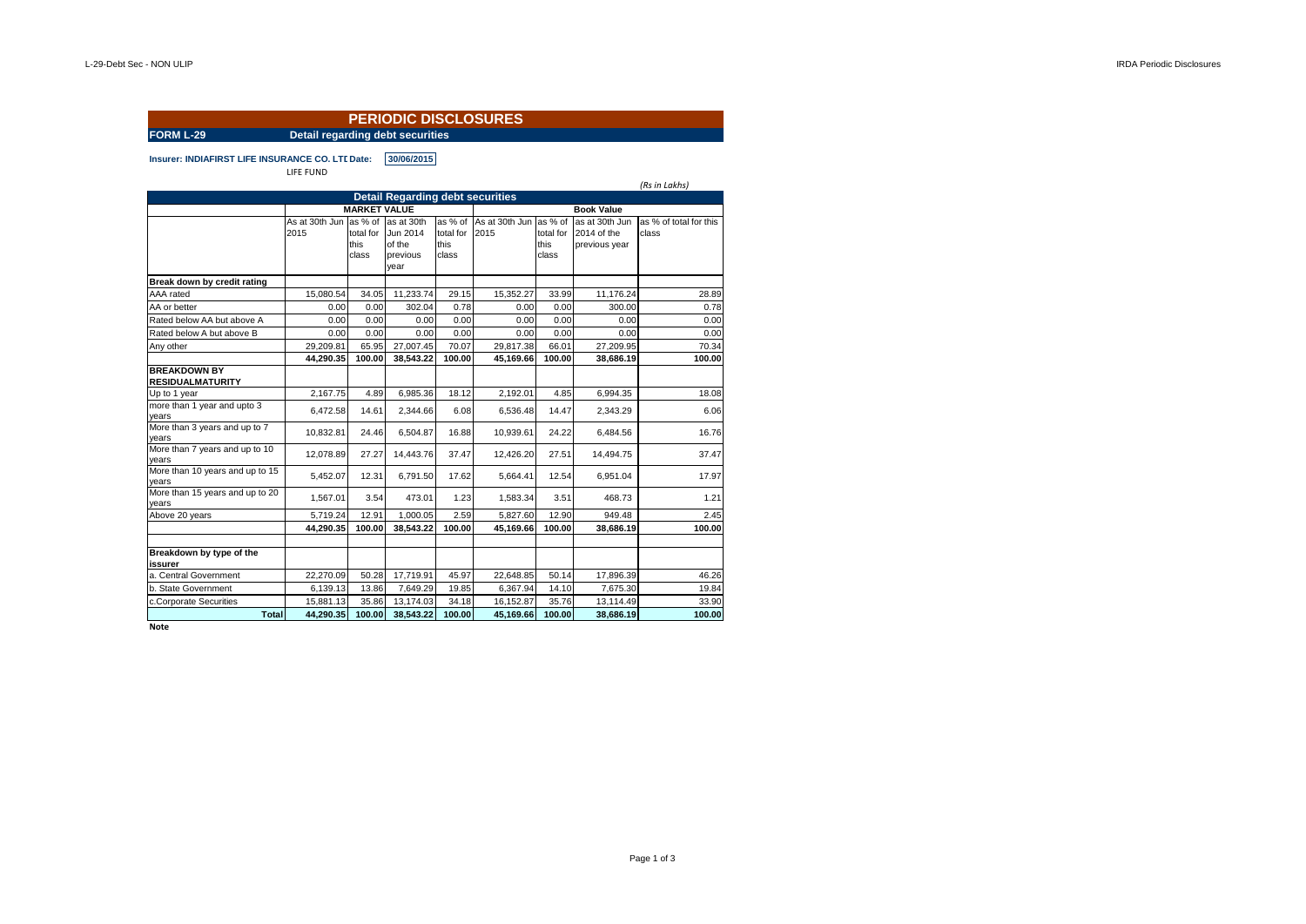| <b>PERIODIC DISCLOSURES</b>                      |                                         |                            |                                                      |                                       |                        |                                       |                                                |                                 |  |  |
|--------------------------------------------------|-----------------------------------------|----------------------------|------------------------------------------------------|---------------------------------------|------------------------|---------------------------------------|------------------------------------------------|---------------------------------|--|--|
| <b>FORM L-29</b>                                 | <b>Detail regarding debt securities</b> |                            |                                                      |                                       |                        |                                       |                                                |                                 |  |  |
| Insurer: INDIAFIRST LIFE INSURANCE CO. LTI Date: | LIFE FUND                               |                            | 30/06/2015                                           |                                       |                        |                                       |                                                | (Rs in Lakhs)                   |  |  |
|                                                  |                                         |                            | <b>Detail Regarding debt securities</b>              |                                       |                        |                                       |                                                |                                 |  |  |
|                                                  | <b>MARKET VALUE</b>                     |                            |                                                      |                                       |                        |                                       |                                                |                                 |  |  |
|                                                  | As at 30th Jun as % of<br>2015          | total for<br>this<br>class | as at 30th<br>Jun 2014<br>of the<br>previous<br>year | as % of<br>total for<br>this<br>class | As at 30th Jun<br>2015 | as % of<br>total for<br>this<br>class | as at 30th Jun<br>2014 of the<br>previous year | as % of total for this<br>class |  |  |
| Break down by credit rating                      |                                         |                            |                                                      |                                       |                        |                                       |                                                |                                 |  |  |
| AAA rated                                        | 15.080.54                               | 34.05                      | 11,233.74                                            | 29.15                                 | 15.352.27              | 33.99                                 | 11.176.24                                      | 28.89                           |  |  |
| AA or better                                     | 0.00                                    | 0.00                       | 302.04                                               | 0.78                                  | 0.00                   | 0.00                                  | 300.00                                         | 0.78                            |  |  |
| Rated below AA but above A                       | 0.00                                    | 0.00                       | 0.00                                                 | 0.00                                  | 0.00                   | 0.00                                  | 0.00                                           | 0.00                            |  |  |
| Rated below A but above B                        | 0.00                                    | 0.00                       | 0.00                                                 | 0.00                                  | 0.00                   | 0.00                                  | 0.00                                           | 0.00                            |  |  |
| Any other                                        | 29.209.81                               | 65.95                      | 27,007.45                                            | 70.07                                 | 29.817.38              | 66.01                                 | 27,209.95                                      | 70.34                           |  |  |
|                                                  | 44,290.35                               | 100.00                     | 38,543.22                                            | 100.00                                | 45,169.66              | 100.00                                | 38,686.19                                      | 100.00                          |  |  |
| <b>BREAKDOWN BY</b><br><b>RESIDUALMATURITY</b>   |                                         |                            |                                                      |                                       |                        |                                       |                                                |                                 |  |  |
| Up to 1 year                                     | 2,167.75                                | 4.89                       | 6,985.36                                             | 18.12                                 | 2,192.01               | 4.85                                  | 6,994.35                                       | 18.08                           |  |  |
| more than 1 year and upto 3<br>vears             | 6,472.58                                | 14.61                      | 2,344.66                                             | 6.08                                  | 6,536.48               | 14.47                                 | 2,343.29                                       | 6.06                            |  |  |
| More than 3 years and up to 7<br>vears           | 10,832.81                               | 24.46                      | 6,504.87                                             | 16.88                                 | 10,939.61              | 24.22                                 | 6,484.56                                       | 16.76                           |  |  |
| More than 7 years and up to 10<br>years          | 12,078.89                               | 27.27                      | 14,443.76                                            | 37.47                                 | 12,426.20              | 27.51                                 | 14,494.75                                      | 37.47                           |  |  |
| More than 10 years and up to 15<br>years         | 5,452.07                                | 12.31                      | 6,791.50                                             | 17.62                                 | 5.664.41               | 12.54                                 | 6,951.04                                       | 17.97                           |  |  |
| More than 15 years and up to 20<br>vears         | 1,567.01                                | 3.54                       | 473.01                                               | 1.23                                  | 1,583.34               | 3.51                                  | 468.73                                         | 1.21                            |  |  |
| Above 20 years                                   | 5,719.24                                | 12.91                      | 1,000.05                                             | 2.59                                  | 5,827.60               | 12.90                                 | 949.48                                         | 2.45                            |  |  |
|                                                  | 44.290.35                               | 100.00                     | 38.543.22                                            | 100.00                                | 45,169.66              | 100.00                                | 38.686.19                                      | 100.00                          |  |  |
| Breakdown by type of the<br>issurer              |                                         |                            |                                                      |                                       |                        |                                       |                                                |                                 |  |  |
| a. Central Government                            | 22,270.09                               | 50.28                      | 17,719.91                                            | 45.97                                 | 22,648.85              | 50.14                                 | 17,896.39                                      | 46.26                           |  |  |
| b. State Government                              | 6,139.13                                | 13.86                      | 7,649.29                                             | 19.85                                 | 6,367.94               | 14.10                                 | 7,675.30                                       | 19.84                           |  |  |
| c.Corporate Securities                           | 15,881.13                               | 35.86                      | 13,174.03                                            | 34.18                                 | 16,152.87              | 35.76                                 | 13,114.49                                      | 33.90                           |  |  |
| Total                                            | 44.290.35                               | 100.00                     | 38.543.22                                            | 100.00                                | 45.169.66              | 100.00                                | 38.686.19                                      | 100.00                          |  |  |

**Note**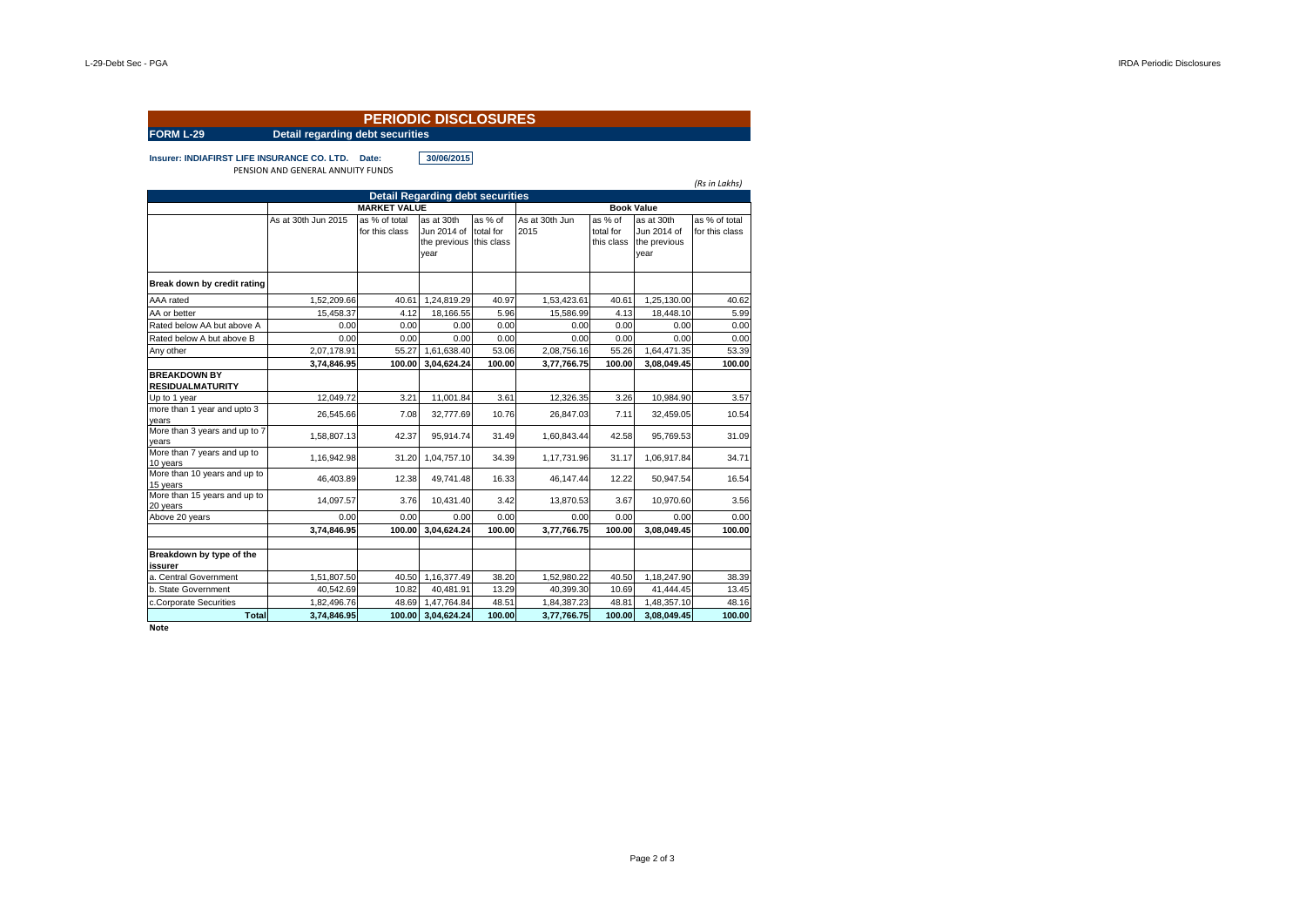| <b>PERIODIC DISCLOSURES</b><br><b>FORM L-29</b><br>Detail regarding debt securities |                                          |                                 |                                                              |                      |                        |                                    |                                                   |                                 |  |  |
|-------------------------------------------------------------------------------------|------------------------------------------|---------------------------------|--------------------------------------------------------------|----------------------|------------------------|------------------------------------|---------------------------------------------------|---------------------------------|--|--|
|                                                                                     |                                          |                                 |                                                              |                      |                        |                                    |                                                   |                                 |  |  |
| Insurer: INDIAFIRST LIFE INSURANCE CO. LTD. Date:                                   | PENSION AND GENERAL ANNUITY FUNDS        |                                 | 30/06/2015                                                   |                      |                        |                                    |                                                   |                                 |  |  |
|                                                                                     |                                          |                                 |                                                              |                      |                        |                                    |                                                   | (Rs in Lakhs)                   |  |  |
|                                                                                     |                                          |                                 | <b>Detail Regarding debt securities</b>                      |                      |                        |                                    |                                                   |                                 |  |  |
|                                                                                     | <b>MARKET VALUE</b><br><b>Book Value</b> |                                 |                                                              |                      |                        |                                    |                                                   |                                 |  |  |
|                                                                                     | As at 30th Jun 2015                      | as % of total<br>for this class | as at 30th<br>Jun 2014 of<br>the previous this class<br>year | as % of<br>total for | As at 30th Jun<br>2015 | as % of<br>total for<br>this class | as at 30th<br>Jun 2014 of<br>the previous<br>year | as % of total<br>for this class |  |  |
| Break down by credit rating                                                         |                                          |                                 |                                                              |                      |                        |                                    |                                                   |                                 |  |  |
| AAA rated                                                                           | 1,52,209.66                              | 40.61                           | 1,24,819.29                                                  | 40.97                | 1,53,423.61            | 40.61                              | 1,25,130.00                                       | 40.62                           |  |  |
| AA or better                                                                        | 15.458.37                                | 4.12                            | 18.166.55                                                    | 5.96                 | 15.586.99              | 4.13                               | 18.448.10                                         | 5.99                            |  |  |
| Rated below AA but above A                                                          | 0.00                                     | 0.00                            | 0.00                                                         | 0.00                 | 0.00                   | 0.00                               | 0.00                                              | 0.00                            |  |  |
| Rated below A but above B                                                           | 0.00                                     | 0.00                            | 0.00                                                         | 0.00                 | 0.00                   | 0.00                               | 0.00                                              | 0.00                            |  |  |
| Any other                                                                           | 2.07.178.91                              | 55.27                           | 1.61.638.40                                                  | 53.06                | 2.08.756.16            | 55.26                              | 1.64.471.35                                       | 53.39                           |  |  |
|                                                                                     | 3,74,846.95                              | 100.00                          | 3.04.624.24                                                  | 100.00               | 3.77.766.75            | 100.00                             | 3,08,049.45                                       | 100.00                          |  |  |
| <b>BREAKDOWN BY</b><br><b>RESIDUALMATURITY</b>                                      |                                          |                                 |                                                              |                      |                        |                                    |                                                   |                                 |  |  |
| Up to 1 year                                                                        | 12.049.72                                | 3.21                            | 11,001.84                                                    | 3.61                 | 12,326.35              | 3.26                               | 10,984.90                                         | 3.57                            |  |  |
| more than 1 year and upto 3<br>years                                                | 26,545.66                                | 7.08                            | 32,777.69                                                    | 10.76                | 26,847.03              | 7.11                               | 32,459.05                                         | 10.54                           |  |  |
| More than 3 years and up to 7<br>years                                              | 1.58.807.13                              | 42.37                           | 95.914.74                                                    | 31.49                | 1.60.843.44            | 42.58                              | 95.769.53                                         | 31.09                           |  |  |
| More than 7 years and up to<br>10 years                                             | 1,16,942.98                              | 31.20                           | 1,04,757.10                                                  | 34.39                | 1,17,731.96            | 31.17                              | 1,06,917.84                                       | 34.71                           |  |  |
| More than 10 years and up to<br>15 years                                            | 46.403.89                                | 12.38                           | 49.741.48                                                    | 16.33                | 46.147.44              | 12.22                              | 50,947.54                                         | 16.54                           |  |  |
| More than 15 years and up to<br>20 years                                            | 14.097.57                                | 3.76                            | 10.431.40                                                    | 3.42                 | 13,870.53              | 3.67                               | 10.970.60                                         | 3.56                            |  |  |
| Above 20 years                                                                      | 0.00                                     | 0.00                            | 0.00                                                         | 0.00                 | 0.00                   | 0.00                               | 0.00                                              | 0.00                            |  |  |
|                                                                                     | 3.74.846.95                              | 100.00                          | 3.04.624.24                                                  | 100.00               | 3,77,766.75            | 100.00                             | 3.08.049.45                                       | 100.00                          |  |  |
| Breakdown by type of the<br>issurer                                                 |                                          |                                 |                                                              |                      |                        |                                    |                                                   |                                 |  |  |
| a. Central Government                                                               | 1,51,807.50                              | 40.50                           | 1,16,377.49                                                  | 38.20                | 1,52,980.22            | 40.50                              | 1,18,247.90                                       | 38.39                           |  |  |
| b. State Government                                                                 | 40,542.69                                | 10.82                           | 40,481.91                                                    | 13.29                | 40,399.30              | 10.69                              | 41,444.45                                         | 13.45                           |  |  |
| c.Corporate Securities                                                              | 1,82,496.76                              | 48.69                           | 1,47,764.84                                                  | 48.51                | 1,84,387.23            | 48.81                              | 1,48,357.10                                       | 48.16                           |  |  |
| <b>Total</b>                                                                        | 3,74,846.95                              | 100.00                          | 3,04,624.24                                                  | 100.00               | 3,77,766.75            | 100.00                             | 3.08.049.45                                       | 100.00                          |  |  |

**Note**